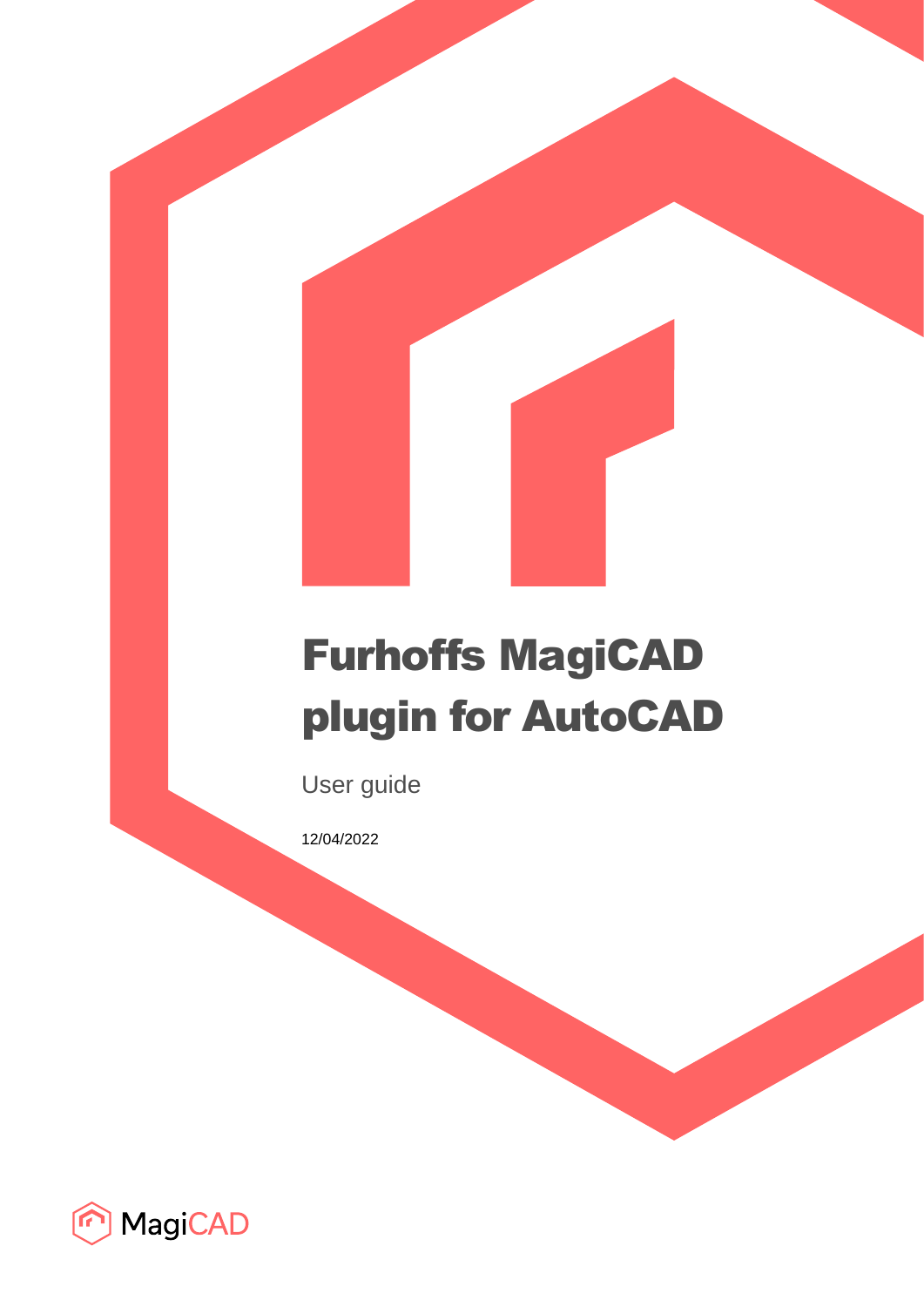# Furhoffs MagiCAD plugin for AutoCAD

User guide

12/04/2022

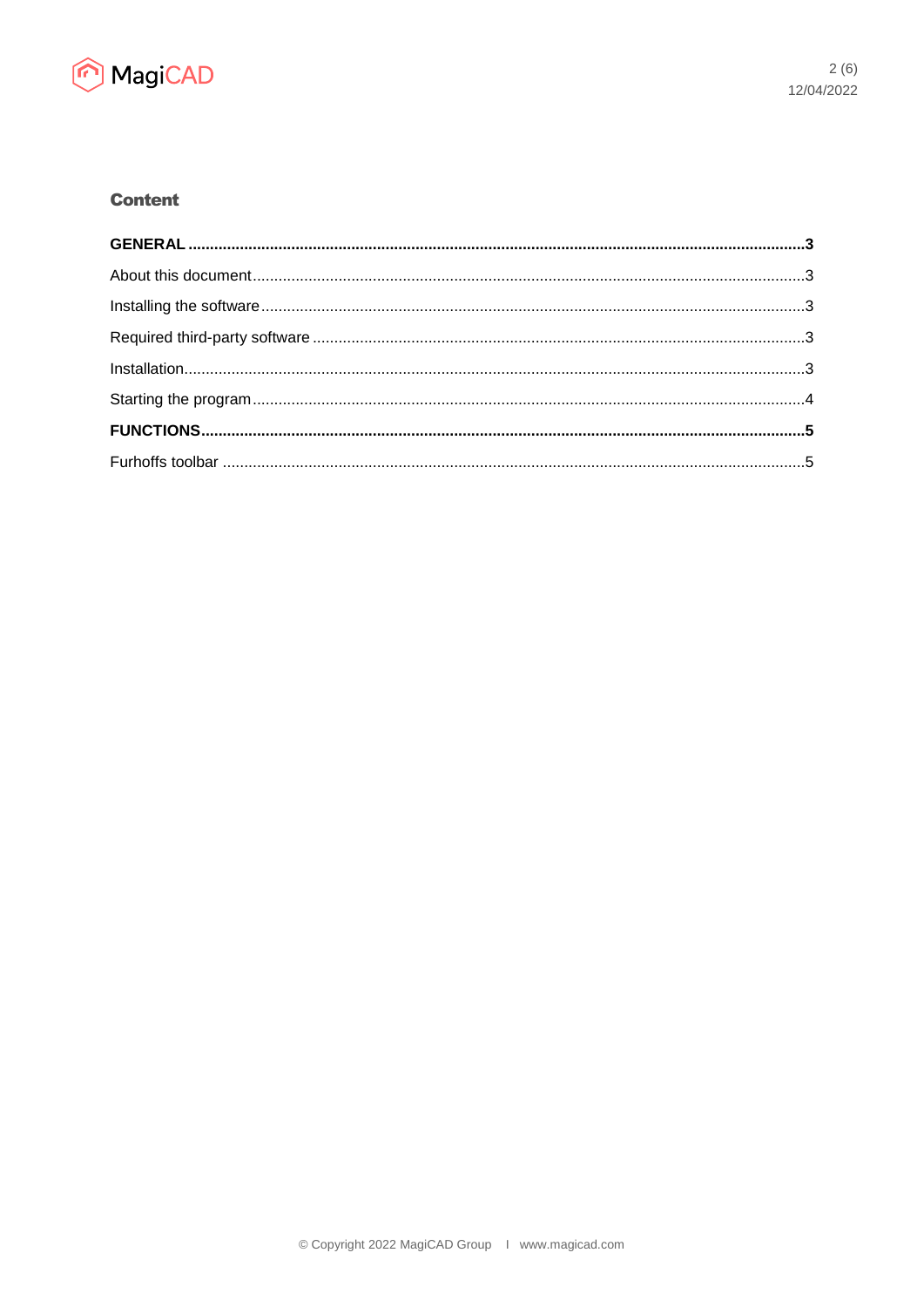

# **Content**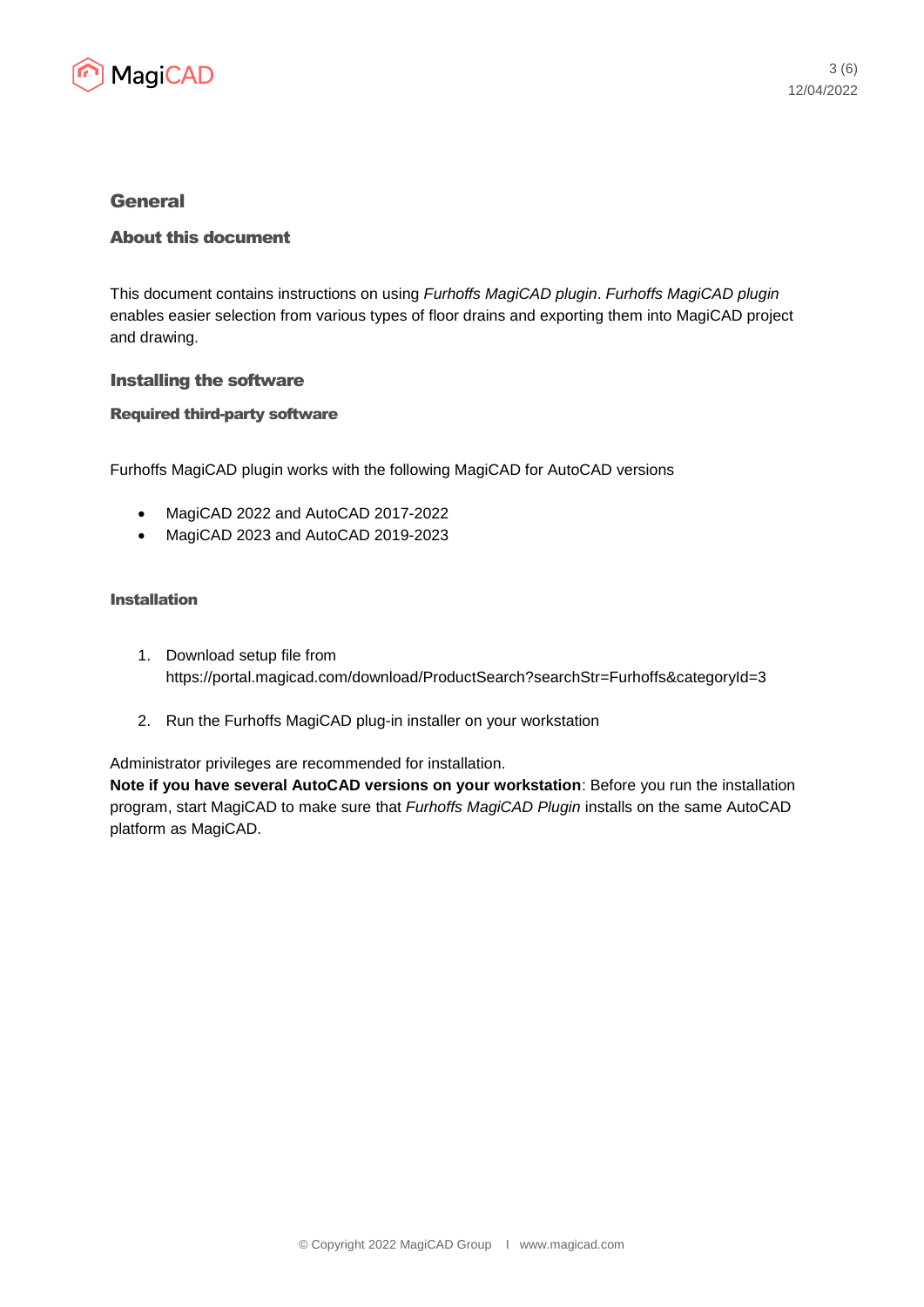

## General

### About this document

This document contains instructions on using *Furhoffs MagiCAD plugin*. *Furhoffs MagiCAD plugin* enables easier selection from various types of floor drains and exporting them into MagiCAD project and drawing.

#### Installing the software

#### Required third-party software

Furhoffs MagiCAD plugin works with the following MagiCAD for AutoCAD versions

- MagiCAD 2022 and AutoCAD 2017-2022
- MagiCAD 2023 and AutoCAD 2019-2023

#### Installation

- 1. Download setup file from https://portal.magicad.com/download/ProductSearch?searchStr=Furhoffs&categoryId=3
- 2. Run the Furhoffs MagiCAD plug-in installer on your workstation

Administrator privileges are recommended for installation.

**Note if you have several AutoCAD versions on your workstation**: Before you run the installation program, start MagiCAD to make sure that *Furhoffs MagiCAD Plugin* installs on the same AutoCAD platform as MagiCAD.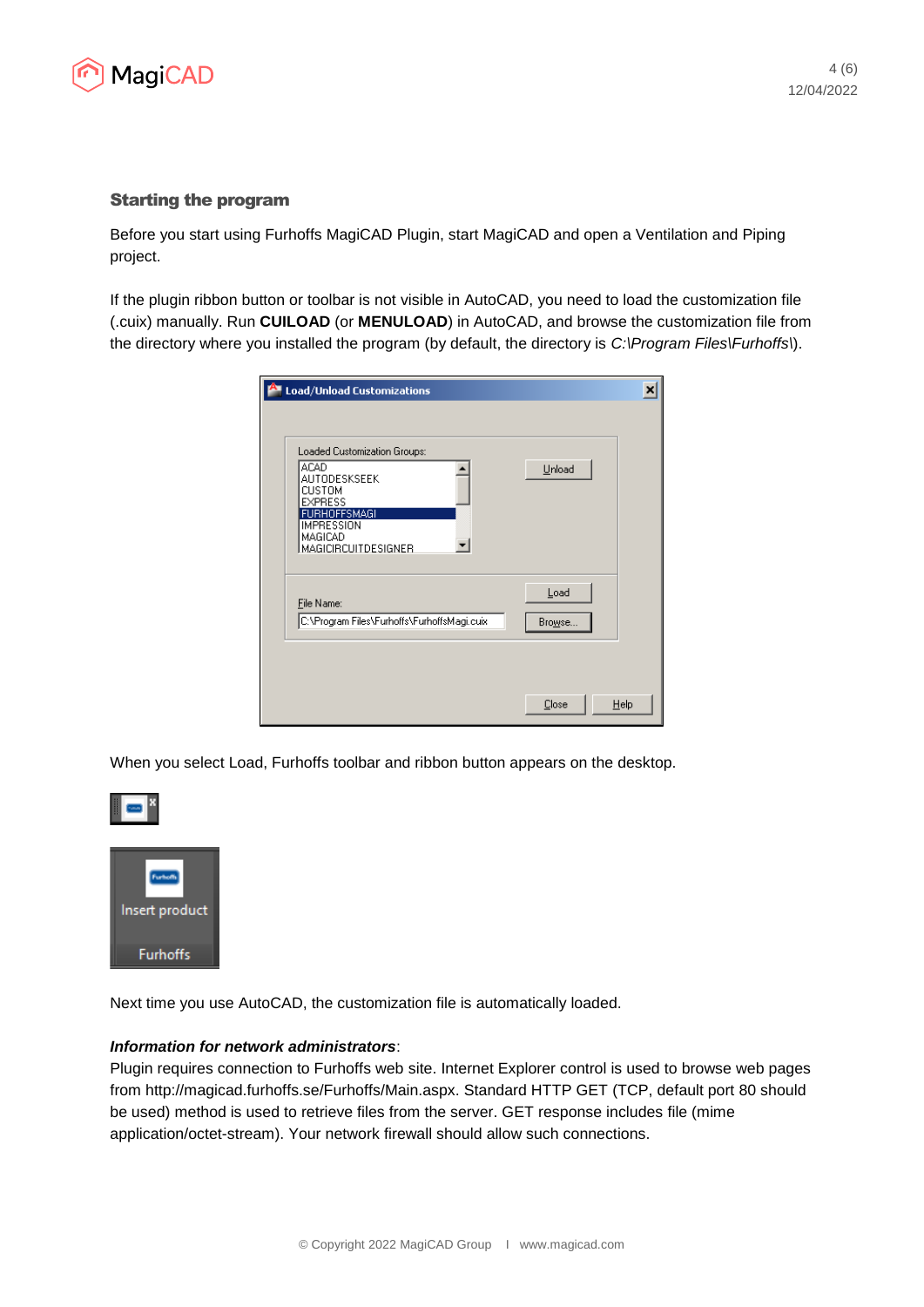

#### Starting the program

Before you start using Furhoffs MagiCAD Plugin, start MagiCAD and open a Ventilation and Piping project.

If the plugin ribbon button or toolbar is not visible in AutoCAD, you need to load the customization file (.cuix) manually. Run **CUILOAD** (or **MENULOAD**) in AutoCAD, and browse the customization file from the directory where you installed the program (by default, the directory is *C:\Program Files\Furhoffs\*).

| Load/Unload Customizations                                                                                           | ×              |
|----------------------------------------------------------------------------------------------------------------------|----------------|
|                                                                                                                      |                |
| Loaded Customization Groups:<br><b>ACAD</b><br>AUTODESKSEEK                                                          | Unload         |
| <b>CUSTOM</b><br><b>EXPRESS</b><br><b>FURHOFFSMAGI</b><br><b>IMPRESSION</b><br>MAGICAD<br><b>MAGICIRCUITDESIGNER</b> |                |
| File Name:<br>C:\Program Files\Furhoffs\FurhoffsMagi.cuix                                                            | Load<br>Browse |
|                                                                                                                      |                |
|                                                                                                                      | Close<br>Help  |

When you select Load, Furhoffs toolbar and ribbon button appears on the desktop.



Next time you use AutoCAD, the customization file is automatically loaded.

#### *Information for network administrators*:

Plugin requires connection to Furhoffs web site. Internet Explorer control is used to browse web pages from http://magicad.furhoffs.se/Furhoffs/Main.aspx. Standard HTTP GET (TCP, default port 80 should be used) method is used to retrieve files from the server. GET response includes file (mime application/octet-stream). Your network firewall should allow such connections.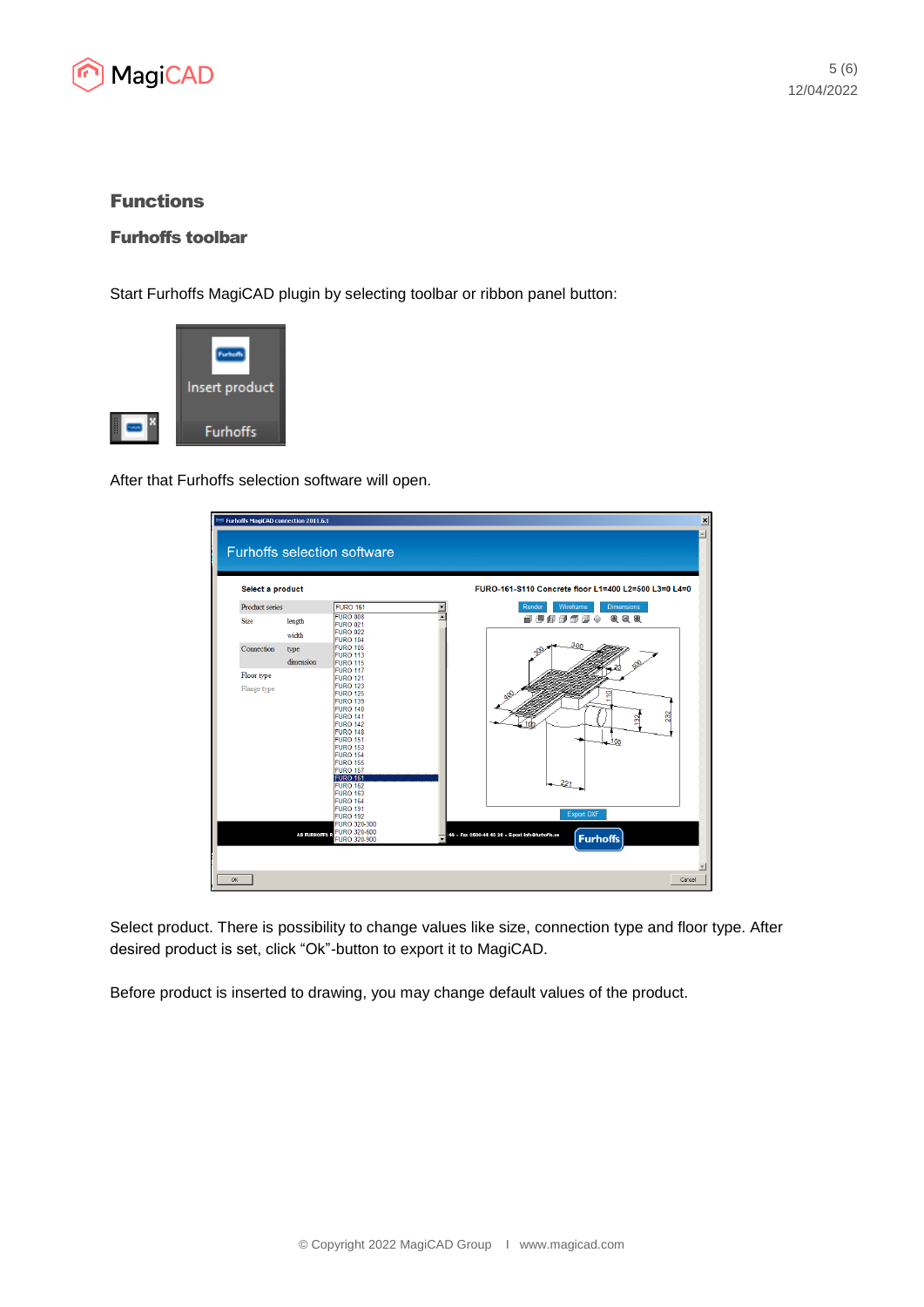

# Functions

## Furhoffs toolbar

Start Furhoffs MagiCAD plugin by selecting toolbar or ribbon panel button:



After that Furhoffs selection software will open.



Select product. There is possibility to change values like size, connection type and floor type. After desired product is set, click "Ok"-button to export it to MagiCAD.

Before product is inserted to drawing, you may change default values of the product.